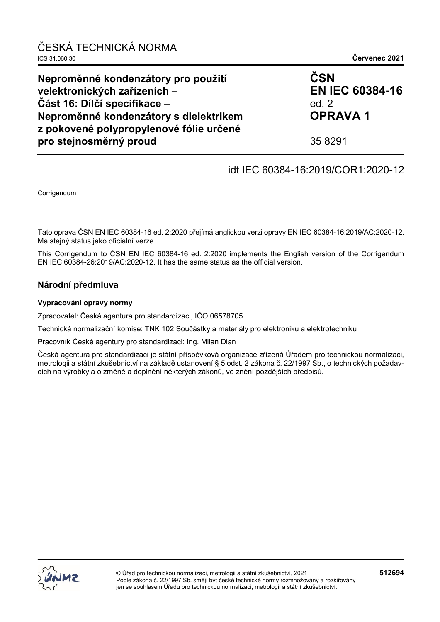| Neproměnné kondenzátory pro použití<br>velektronických zařízeních -               | ČSN<br><b>EN IEC 60384-16</b> |
|-----------------------------------------------------------------------------------|-------------------------------|
| Část 16: Dílčí specifikace –                                                      | ed. $2$                       |
| Neproměnné kondenzátory s dielektrikem<br>z pokovené polypropylenové fólie určené | <b>OPRAVA1</b>                |
| pro stejnosměrný proud                                                            | 35 8291                       |

# idt IEC 60384-16:2019/COR1:2020-12

Corrigendum

Tato oprava ČSN EN IEC 60384-16 ed. 2:2020 přejímá anglickou verzi opravy EN IEC 60384-16:2019/AC:2020-12. Má stejný status jako oficiální verze.

This Corrigendum to ČSN EN IEC 60384-16 ed. 2:2020 implements the English version of the Corrigendum EN IEC 60384-26:2019/AC:2020-12. It has the same status as the official version.

## **Národní předmluva**

#### **Vypracování opravy normy**

Zpracovatel: Česká agentura pro standardizaci, IČO 06578705

Technická normalizační komise: TNK 102 Součástky a materiály pro elektroniku a elektrotechniku

Pracovník České agentury pro standardizaci: Ing. Milan Dian

Česká agentura pro standardizaci je státní příspěvková organizace zřízená Úřadem pro technickou normalizaci, metrologii a státní zkušebnictví na základě ustanovení § 5 odst. 2 zákona č. 22/1997 Sb., o technických požadavcích na výrobky a o změně a doplnění některých zákonů, ve znění pozdějších předpisů.

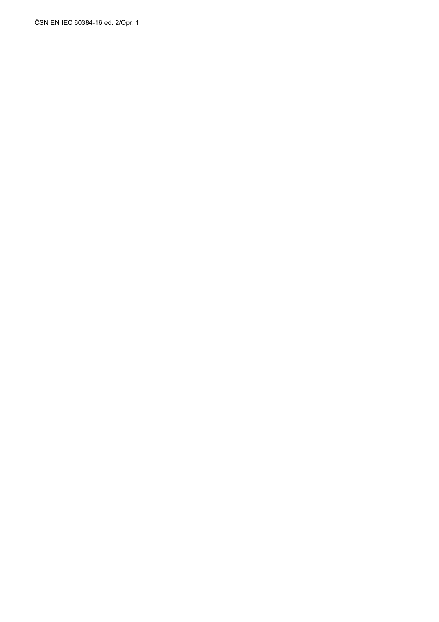ČSN EN IEC 60384-16 ed. 2/Opr. 1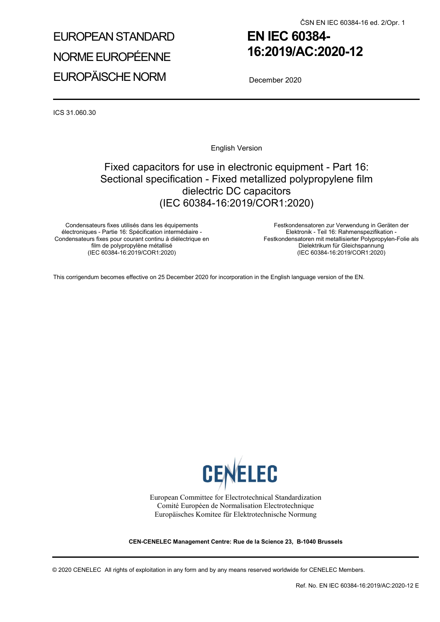# EUROPEAN STANDARD NORME EUROPÉENNE EUROPÄISCHE NORM

# **EN IEC 60384- 16:2019/AC:2020-12**

December 2020

ICS 31.060.30

English Version

# Fixed capacitors for use in electronic equipment - Part 16: Sectional specification - Fixed metallized polypropylene film dielectric DC capacitors (IEC 60384-16:2019/COR1:2020)

Condensateurs fixes utilisés dans les équipements électroniques - Partie 16: Spécification intermédiaire - Condensateurs fixes pour courant continu à diélectrique en film de polypropylène métallisé (IEC 60384-16:2019/COR1:2020)

Festkondensatoren zur Verwendung in Geräten der Elektronik - Teil 16: Rahmenspezifikation - Festkondensatoren mit metallisierter Polypropylen-Folie als Dielektrikum für Gleichspannung (IEC 60384-16:2019/COR1:2020)

This corrigendum becomes effective on 25 December 2020 for incorporation in the English language version of the EN.



European Committee for Electrotechnical Standardization Comité Européen de Normalisation Electrotechnique Europäisches Komitee für Elektrotechnische Normung

**CEN-CENELEC Management Centre: Rue de la Science 23, B-1040 Brussels**

© 2020 CENELEC All rights of exploitation in any form and by any means reserved worldwide for CENELEC Members.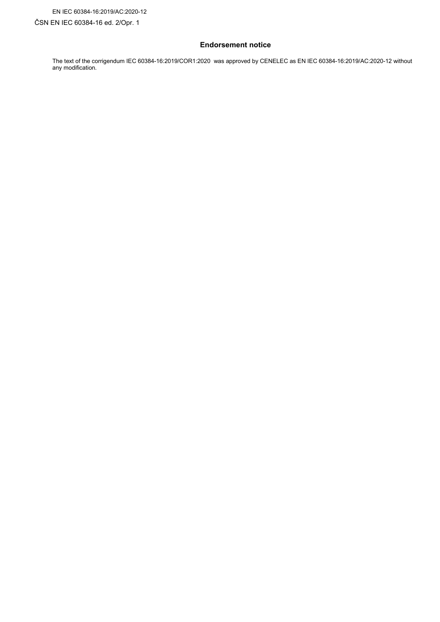EN IEC 60384-16:2019/AC:2020-12

ČSN EN IEC 60384-16 ed. 2/Opr. 1

#### **Endorsement notice**

The text of the corrigendum IEC 60384-16:2019/COR1:2020 was approved by CENELEC as EN IEC 60384-16:2019/AC:2020-12 without any modification.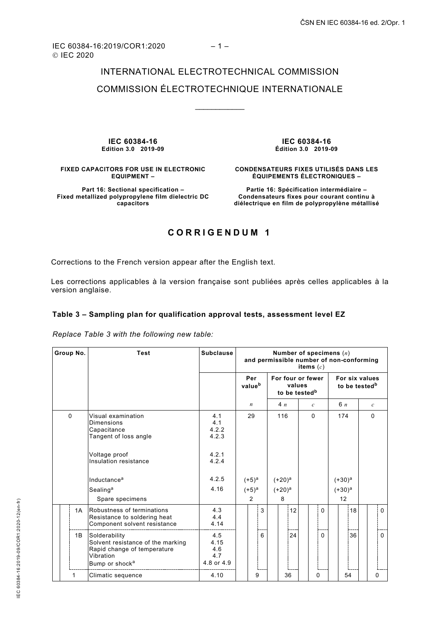IEC 60384-16:2019/COR1:2020 – 1 – © IEC 2020

# INTERNATIONAL ELECTROTECHNICAL COMMISSION

# COMMISSION ÉLECTROTECHNIQUE INTERNATIONALE

\_\_\_\_\_\_\_\_\_\_\_\_

**IEC 60384-16 Edition 3.0 2019-09**

**FIXED CAPACITORS FOR USE IN ELECTRONIC EQUIPMENT –** 

**Part 16: Sectional specification – Fixed metallized polypropylene film dielectric DC capacitors**

**IEC 60384-16 Édition 3.0 2019-09**

**CONDENSATEURS FIXES UTILISÉS DANS LES ÉQUIPEMENTS ÉLECTRONIQUES –** 

**Partie 16: Spécification intermédiaire – Condensateurs fixes pour courant continu à diélectrique en film de polypropylène métallisé**

# **CORRIGENDUM 1**

Corrections to the French version appear after the English text.

Les corrections applicables à la version française sont publiées après celles applicables à la version anglaise.

#### **Table 3 – Sampling plan for qualification approval tests, assessment level EZ**

*Replace Table 3 with the following new table:*

| Group No.   | <b>Test</b>                                                                                                                  | <b>Subclause</b>                        | Number of specimens $(n)$<br>and permissible number of non-conforming<br>items $(c)$ |   |   |    |        |                                                |                              |          |                                             |    |               |             |
|-------------|------------------------------------------------------------------------------------------------------------------------------|-----------------------------------------|--------------------------------------------------------------------------------------|---|---|----|--------|------------------------------------------------|------------------------------|----------|---------------------------------------------|----|---------------|-------------|
|             |                                                                                                                              |                                         | Per<br>valueb                                                                        |   |   |    | values | For four or fewer<br>to be tested <sup>b</sup> |                              |          | For six values<br>to be tested <sup>b</sup> |    |               |             |
|             |                                                                                                                              |                                         | $\boldsymbol{n}$                                                                     |   |   | 4n |        | $\mathcal{C}$                                  |                              |          | 6n                                          |    | $\mathcal{C}$ |             |
| $\mathbf 0$ | Visual examination<br><b>Dimensions</b><br>Capacitance<br>Tangent of loss angle                                              | 4.1<br>4.1<br>4.2.2<br>4.2.3            | 29                                                                                   |   |   |    | 116    | $\Omega$                                       |                              |          | 174                                         |    |               | $\mathbf 0$ |
|             | Voltage proof<br>Insulation resistance                                                                                       | 4.2.1<br>4.2.4                          |                                                                                      |   |   |    |        |                                                |                              |          |                                             |    |               |             |
|             | Inductance <sup>a</sup><br>Sealing <sup>a</sup><br>Spare specimens                                                           | 4.2.5<br>4.16                           | $(+5)^{a}$<br>$(+20)^a$<br>$(+20)^a$<br>$(+5)^{a}$<br>2<br>8                         |   |   |    |        |                                                | $(+30)^a$<br>$(+30)^a$<br>12 |          |                                             |    |               |             |
| 1A          | Robustness of terminations<br>Resistance to soldering heat<br>Component solvent resistance                                   | 4.3<br>4.4<br>4.14                      |                                                                                      |   | 3 |    | 12     |                                                |                              | $\Omega$ |                                             | 18 |               | $\mathbf 0$ |
| 1B          | Solderability<br>Solvent resistance of the marking<br>Rapid change of temperature<br>Vibration<br>Bump or shock <sup>a</sup> | 4.5<br>4.15<br>4.6<br>4.7<br>4.8 or 4.9 |                                                                                      |   | 6 |    | 24     |                                                |                              | $\Omega$ |                                             | 36 |               | $\Omega$    |
| 1           | Climatic sequence                                                                                                            | 4.10                                    |                                                                                      | 9 |   |    | 36     |                                                | 0                            |          |                                             | 54 |               | 0           |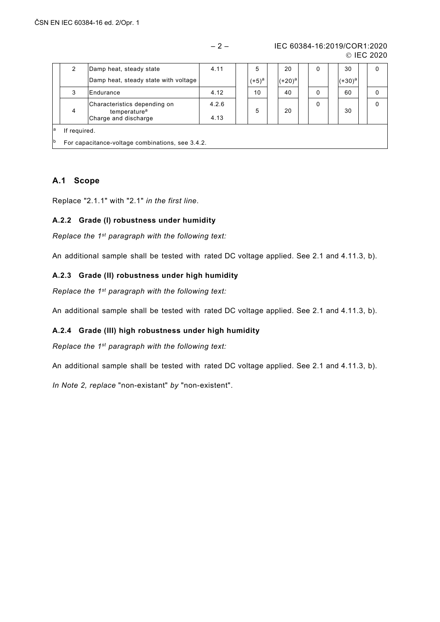#### – 2 – IEC 60384-16:2019/COR1:2020 © IEC 2020

|   | $\mathcal{P}$  | Damp heat, steady state                                                          | 4.11          |  | 5                 |  | 20                 |  | 0 |  | 30        |  | 0 |
|---|----------------|----------------------------------------------------------------------------------|---------------|--|-------------------|--|--------------------|--|---|--|-----------|--|---|
|   |                | Damp heat, steady state with voltage                                             |               |  | (+5) <sup>a</sup> |  | (+20) <sup>a</sup> |  |   |  | $(+30)^a$ |  |   |
|   | 3              | Endurance                                                                        | 4.12          |  | 10                |  | 40                 |  | 0 |  | 60        |  | 0 |
|   | $\overline{4}$ | Characteristics depending on<br>temperature <sup>a</sup><br>Charge and discharge | 4.2.6<br>4.13 |  | 5                 |  | 20                 |  | 0 |  | 30        |  | 0 |
| a | If required.   |                                                                                  |               |  |                   |  |                    |  |   |  |           |  |   |
| b |                | For capacitance-voltage combinations, see 3.4.2.                                 |               |  |                   |  |                    |  |   |  |           |  |   |

# **A.1 Scope**

Replace "2.1.1" with "2.1" *in the first line*.

### **A.2.2 Grade (I) robustness under humidity**

*Replace the 1st paragraph with the following text:* 

An additional sample shall be tested with rated DC voltage applied. See 2.1 and 4.11.3, b).

## **A.2.3 Grade (II) robustness under high humidity**

*Replace the 1st paragraph with the following text:*

An additional sample shall be tested with rated DC voltage applied. See 2.1 and 4.11.3, b).

### **A.2.4 Grade (III) high robustness under high humidity**

*Replace the 1st paragraph with the following text:*

An additional sample shall be tested with rated DC voltage applied. See 2.1 and 4.11.3, b).

*In Note 2, replace* "non-existant" *by* "non-existent".